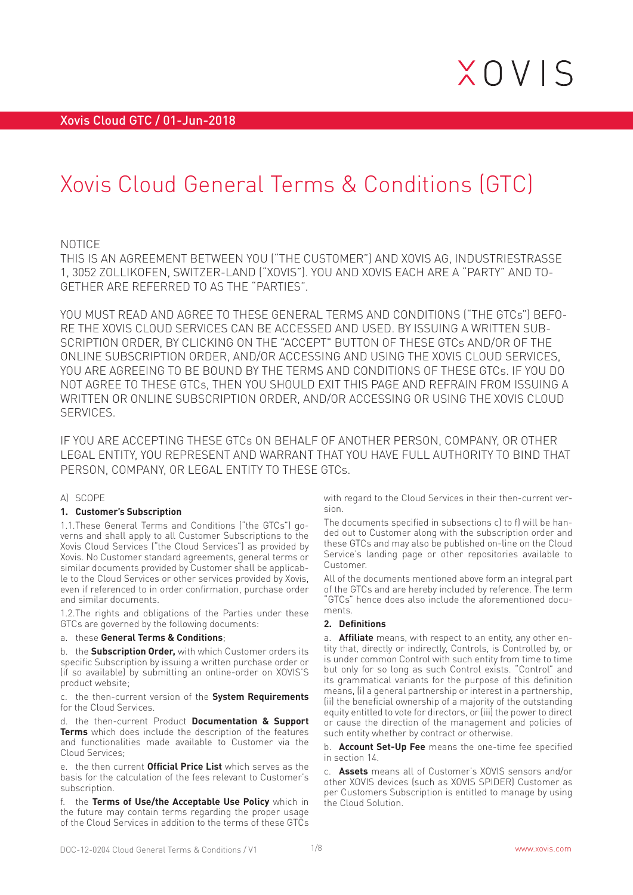# Xovis Cloud General Terms & Conditions (GTC)

### NOTICE

THIS IS AN AGREEMENT BETWEEN YOU ("THE CUSTOMER") AND XOVIS AG, INDUSTRIESTRASSE 1, 3052 ZOLLIKOFEN, SWITZER-LAND ("XOVIS"). YOU AND XOVIS EACH ARE A "PARTY" AND TO-GETHER ARE REFERRED TO AS THE "PARTIES".

YOU MUST READ AND AGREE TO THESE GENERAL TERMS AND CONDITIONS ("THE GTCs") BEFO-RE THE XOVIS CLOUD SERVICES CAN BE ACCESSED AND USED. BY ISSUING A WRITTEN SUB-SCRIPTION ORDER, BY CLICKING ON THE "ACCEPT" BUTTON OF THESE GTCs AND/OR OF THE ONLINE SUBSCRIPTION ORDER, AND/OR ACCESSING AND USING THE XOVIS CLOUD SERVICES, YOU ARE AGREEING TO BE BOUND BY THE TERMS AND CONDITIONS OF THESE GTCs. IF YOU DO NOT AGREE TO THESE GTCs, THEN YOU SHOULD EXIT THIS PAGE AND REFRAIN FROM ISSUING A WRITTEN OR ONLINE SUBSCRIPTION ORDER, AND/OR ACCESSING OR USING THE XOVIS CLOUD **SERVICES** 

IF YOU ARE ACCEPTING THESE GTCs ON BEHALF OF ANOTHER PERSON, COMPANY, OR OTHER LEGAL ENTITY, YOU REPRESENT AND WARRANT THAT YOU HAVE FULL AUTHORITY TO BIND THAT PERSON, COMPANY, OR LEGAL ENTITY TO THESE GTCs.

#### A) SCOPE

#### **1. Customer's Subscription**

1.1.These General Terms and Conditions ("the GTCs") governs and shall apply to all Customer Subscriptions to the Xovis Cloud Services ("the Cloud Services") as provided by Xovis. No Customer standard agreements, general terms or similar documents provided by Customer shall be applicable to the Cloud Services or other services provided by Xovis, even if referenced to in order confirmation, purchase order and similar documents.

1.2.The rights and obligations of the Parties under these GTCs are governed by the following documents:

#### a. these **General Terms & Conditions**;

b. the **Subscription Order,** with which Customer orders its specific Subscription by issuing a written purchase order or (if so available) by submitting an online-order on XOVIS'S product website;

c. the then-current version of the **System Requirements** for the Cloud Services.

d. the then-current Product **Documentation & Support Terms** which does include the description of the features and functionalities made available to Customer via the Cloud Services;

e. the then current **Official Price List** which serves as the basis for the calculation of the fees relevant to Customer's subscription.

f. the **Terms of Use/the Acceptable Use Policy** which in the future may contain terms regarding the proper usage of the Cloud Services in addition to the terms of these GTCs

with regard to the Cloud Services in their then-current version.

The documents specified in subsections c) to f) will be handed out to Customer along with the subscription order and these GTCs and may also be published on-line on the Cloud Service's landing page or other repositories available to Customer.

All of the documents mentioned above form an integral part of the GTCs and are hereby included by reference. The term "GTCs" hence does also include the aforementioned documents.

#### **2. Definitions**

a. **Affiliate** means, with respect to an entity, any other entity that, directly or indirectly, Controls, is Controlled by, or is under common Control with such entity from time to time but only for so long as such Control exists. "Control" and its grammatical variants for the purpose of this definition means, (i) a general partnership or interest in a partnership, (ii) the beneficial ownership of a majority of the outstanding equity entitled to vote for directors, or (iii) the power to direct or cause the direction of the management and policies of such entity whether by contract or otherwise.

b. **Account Set-Up Fee** means the one-time fee specified in section 14.

c. **Assets** means all of Customer's XOVIS sensors and/or other XOVIS devices (such as XOVIS SPIDER) Customer as per Customers Subscription is entitled to manage by using the Cloud Solution.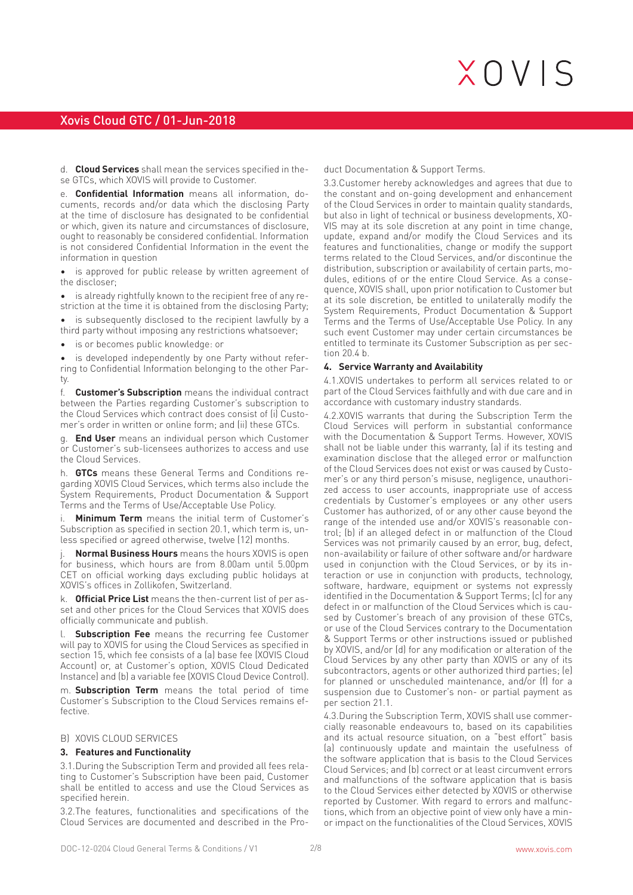# Xovis Cloud GTC / 01-Jun-2018

d. **Cloud Services** shall mean the services specified in these GTCs, which XOVIS will provide to Customer.

e. **Confidential Information** means all information, documents, records and/or data which the disclosing Party at the time of disclosure has designated to be confidential or which, given its nature and circumstances of disclosure, ought to reasonably be considered confidential. Information is not considered Confidential Information in the event the information in question

is approved for public release by written agreement of the discloser;

• is already rightfully known to the recipient free of any restriction at the time it is obtained from the disclosing Party;

• is subsequently disclosed to the recipient lawfully by a third party without imposing any restrictions whatsoever;

is or becomes public knowledge: or

is developed independently by one Party without referring to Confidential Information belonging to the other Party.

f. **Customer's Subscription** means the individual contract between the Parties regarding Customer's subscription to the Cloud Services which contract does consist of (i) Customer's order in written or online form; and (ii) these GTCs.

g. **End User** means an individual person which Customer or Customer's sub-licensees authorizes to access and use the Cloud Services.

h. **GTCs** means these General Terms and Conditions regarding XOVIS Cloud Services, which terms also include the System Requirements, Product Documentation & Support Terms and the Terms of Use/Acceptable Use Policy.

**Minimum Term** means the initial term of Customer's Subscription as specified in section 20.1, which term is, unless specified or agreed otherwise, twelve (12) months.

**Normal Business Hours** means the hours XOVIS is open for business, which hours are from 8.00am until  $5.00$ pm CET on official working days excluding public holidays at XOVIS's offices in Zollikofen, Switzerland.

k. **Official Price List** means the then-current list of per asset and other prices for the Cloud Services that XOVIS does officially communicate and publish.

l. **Subscription Fee** means the recurring fee Customer will pay to XOVIS for using the Cloud Services as specified in section 15, which fee consists of a (a) base fee (XOVIS Cloud Account) or, at Customer's option, XOVIS Cloud Dedicated Instance) and (b) a variable fee (XOVIS Cloud Device Control).

m. **Subscription Term** means the total period of time Customer's Subscription to the Cloud Services remains effective.

### B) XOVIS CLOUD SERVICES

#### **3. Features and Functionality**

3.1.During the Subscription Term and provided all fees relating to Customer's Subscription have been paid, Customer shall be entitled to access and use the Cloud Services as specified herein.

3.2.The features, functionalities and specifications of the Cloud Services are documented and described in the Product Documentation & Support Terms.

3.3.Customer hereby acknowledges and agrees that due to the constant and on-going development and enhancement of the Cloud Services in order to maintain quality standards, but also in light of technical or business developments, XO-VIS may at its sole discretion at any point in time change, update, expand and/or modify the Cloud Services and its features and functionalities, change or modify the support terms related to the Cloud Services, and/or discontinue the distribution, subscription or availability of certain parts, modules, editions of or the entire Cloud Service. As a consequence, XOVIS shall, upon prior notification to Customer but at its sole discretion, be entitled to unilaterally modify the System Requirements, Product Documentation & Support Terms and the Terms of Use/Acceptable Use Policy. In any such event Customer may under certain circumstances be entitled to terminate its Customer Subscription as per section 20.4 b.

#### **4. Service Warranty and Availability**

4.1.XOVIS undertakes to perform all services related to or part of the Cloud Services faithfully and with due care and in accordance with customary industry standards.

4.2.XOVIS warrants that during the Subscription Term the Cloud Services will perform in substantial conformance with the Documentation & Support Terms. However, XOVIS shall not be liable under this warranty, (a) if its testing and examination disclose that the alleged error or malfunction of the Cloud Services does not exist or was caused by Customer's or any third person's misuse, negligence, unauthorized access to user accounts, inappropriate use of access credentials by Customer's employees or any other users Customer has authorized, of or any other cause beyond the range of the intended use and/or XOVIS's reasonable control; (b) if an alleged defect in or malfunction of the Cloud Services was not primarily caused by an error, bug, defect, non-availability or failure of other software and/or hardware used in conjunction with the Cloud Services, or by its interaction or use in conjunction with products, technology, software, hardware, equipment or systems not expressly identified in the Documentation & Support Terms; (c) for any defect in or malfunction of the Cloud Services which is caused by Customer's breach of any provision of these GTCs, or use of the Cloud Services contrary to the Documentation & Support Terms or other instructions issued or published by XOVIS, and/or (d) for any modification or alteration of the Cloud Services by any other party than XOVIS or any of its subcontractors, agents or other authorized third parties; (e) for planned or unscheduled maintenance, and/or (f) for a suspension due to Customer's non- or partial payment as per section 21.1.

4.3.During the Subscription Term, XOVIS shall use commercially reasonable endeavours to, based on its capabilities and its actual resource situation, on a "best effort" basis (a) continuously update and maintain the usefulness of the software application that is basis to the Cloud Services Cloud Services; and (b) correct or at least circumvent errors and malfunctions of the software application that is basis to the Cloud Services either detected by XOVIS or otherwise reported by Customer. With regard to errors and malfunctions, which from an objective point of view only have a minor impact on the functionalities of the Cloud Services, XOVIS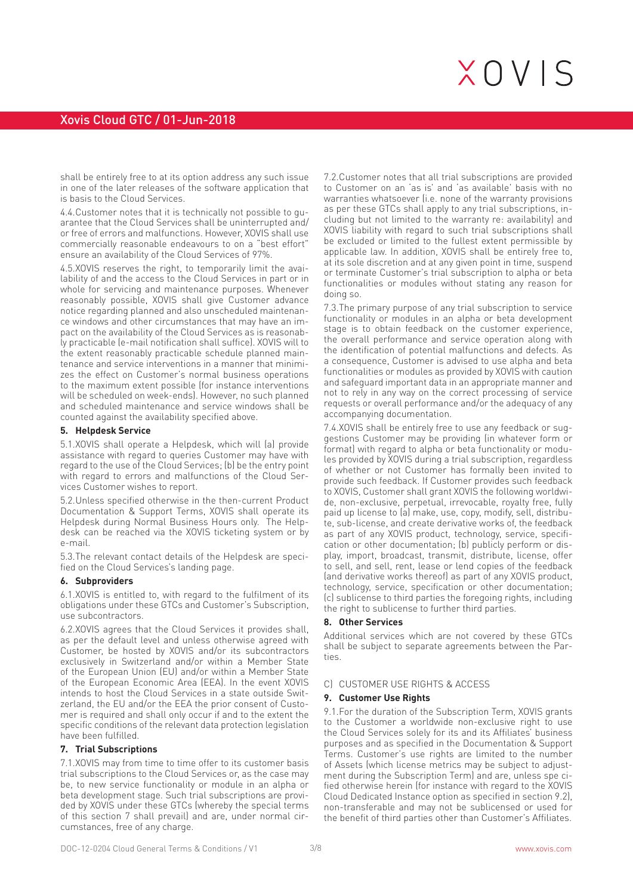shall be entirely free to at its option address any such issue in one of the later releases of the software application that is basis to the Cloud Services.

4.4.Customer notes that it is technically not possible to guarantee that the Cloud Services shall be uninterrupted and/ or free of errors and malfunctions. However, XOVIS shall use commercially reasonable endeavours to on a "best effort" ensure an availability of the Cloud Services of 97%.

4.5.XOVIS reserves the right, to temporarily limit the availability of and the access to the Cloud Services in part or in whole for servicing and maintenance purposes. Whenever reasonably possible, XOVIS shall give Customer advance notice regarding planned and also unscheduled maintenance windows and other circumstances that may have an impact on the availability of the Cloud Services as is reasonably practicable (e-mail notification shall suffice). XOVIS will to the extent reasonably practicable schedule planned maintenance and service interventions in a manner that minimizes the effect on Customer's normal business operations to the maximum extent possible (for instance interventions will be scheduled on week-ends). However, no such planned and scheduled maintenance and service windows shall be counted against the availability specified above.

#### **5. Helpdesk Service**

5.1.XOVIS shall operate a Helpdesk, which will (a) provide assistance with regard to queries Customer may have with regard to the use of the Cloud Services; (b) be the entry point with regard to errors and malfunctions of the Cloud Services Customer wishes to report.

5.2.Unless specified otherwise in the then-current Product Documentation & Support Terms, XOVIS shall operate its Helpdesk during Normal Business Hours only. The Helpdesk can be reached via the XOVIS ticketing system or by e-mail.

5.3.The relevant contact details of the Helpdesk are specified on the Cloud Services's landing page.

#### **6. Subproviders**

6.1.XOVIS is entitled to, with regard to the fulfilment of its obligations under these GTCs and Customer's Subscription, use subcontractors.

6.2.XOVIS agrees that the Cloud Services it provides shall, as per the default level and unless otherwise agreed with Customer, be hosted by XOVIS and/or its subcontractors exclusively in Switzerland and/or within a Member State of the European Union (EU) and/or within a Member State of the European Economic Area (EEA). In the event XOVIS intends to host the Cloud Services in a state outside Switzerland, the EU and/or the EEA the prior consent of Customer is required and shall only occur if and to the extent the specific conditions of the relevant data protection legislation have been fulfilled.

#### **7. Trial Subscriptions**

7.1.XOVIS may from time to time offer to its customer basis trial subscriptions to the Cloud Services or, as the case may be, to new service functionality or module in an alpha or beta development stage. Such trial subscriptions are provided by XOVIS under these GTCs (whereby the special terms of this section 7 shall prevail) and are, under normal circumstances, free of any charge.

7.2.Customer notes that all trial subscriptions are provided to Customer on an 'as is' and 'as available' basis with no warranties whatsoever (i.e. none of the warranty provisions as per these GTCs shall apply to any trial subscriptions, including but not limited to the warranty re: availability) and XOVIS liability with regard to such trial subscriptions shall be excluded or limited to the fullest extent permissible by applicable law. In addition, XOVIS shall be entirely free to, at its sole discretion and at any given point in time, suspend or terminate Customer's trial subscription to alpha or beta functionalities or modules without stating any reason for doing so.

7.3.The primary purpose of any trial subscription to service functionality or modules in an alpha or beta development stage is to obtain feedback on the customer experience, the overall performance and service operation along with the identification of potential malfunctions and defects. As a consequence, Customer is advised to use alpha and beta functionalities or modules as provided by XOVIS with caution and safeguard important data in an appropriate manner and not to rely in any way on the correct processing of service requests or overall performance and/or the adequacy of any accompanying documentation.

7.4.XOVIS shall be entirely free to use any feedback or suggestions Customer may be providing (in whatever form or format) with regard to alpha or beta functionality or modules provided by XOVIS during a trial subscription, regardless of whether or not Customer has formally been invited to provide such feedback. If Customer provides such feedback to XOVIS, Customer shall grant XOVIS the following worldwide, non-exclusive, perpetual, irrevocable, royalty free, fully paid up license to (a) make, use, copy, modify, sell, distribute, sub-license, and create derivative works of, the feedback as part of any XOVIS product, technology, service, specification or other documentation; (b) publicly perform or display, import, broadcast, transmit, distribute, license, offer to sell, and sell, rent, lease or lend copies of the feedback (and derivative works thereof) as part of any XOVIS product, technology, service, specification or other documentation; (c) sublicense to third parties the foregoing rights, including the right to sublicense to further third parties.

#### **8. Other Services**

Additional services which are not covered by these GTCs shall be subject to separate agreements between the Parties.

#### C) CUSTOMER USE RIGHTS & ACCESS

#### **9. Customer Use Rights**

9.1.For the duration of the Subscription Term, XOVIS grants to the Customer a worldwide non-exclusive right to use the Cloud Services solely for its and its Affiliates' business purposes and as specified in the Documentation & Support Terms. Customer's use rights are limited to the number of Assets (which license metrics may be subject to adjustment during the Subscription Term) and are, unless spe cified otherwise herein (for instance with regard to the XOVIS Cloud Dedicated Instance option as specified in section 9.2), non-transferable and may not be sublicensed or used for the benefit of third parties other than Customer's Affiliates.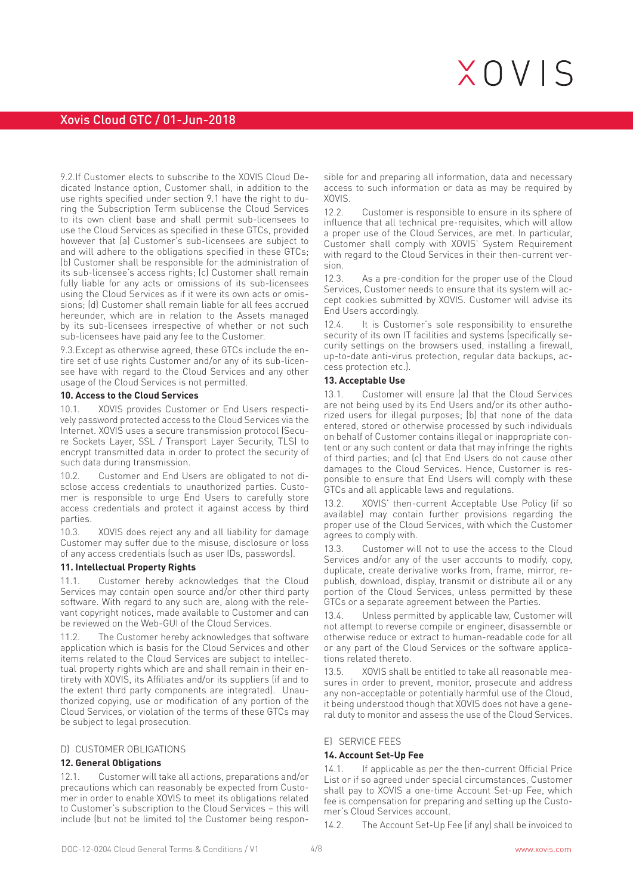# Xovis Cloud GTC / 01-Jun-2018

9.2.If Customer elects to subscribe to the XOVIS Cloud Dedicated Instance option, Customer shall, in addition to the use rights specified under section 9.1 have the right to during the Subscription Term sublicense the Cloud Services to its own client base and shall permit sub-licensees to use the Cloud Services as specified in these GTCs, provided however that (a) Customer's sub-licensees are subject to and will adhere to the obligations specified in these GTCs; (b) Customer shall be responsible for the administration of its sub-licensee's access rights; (c) Customer shall remain fully liable for any acts or omissions of its sub-licensees using the Cloud Services as if it were its own acts or omissions; (d) Customer shall remain liable for all fees accrued hereunder, which are in relation to the Assets managed by its sub-licensees irrespective of whether or not such sub-licensees have paid any fee to the Customer.

9.3.Except as otherwise agreed, these GTCs include the entire set of use rights Customer and/or any of its sub-licensee have with regard to the Cloud Services and any other usage of the Cloud Services is not permitted.

#### **10. Access to the Cloud Services**

10.1. XOVIS provides Customer or End Users respectively password protected access to the Cloud Services via the Internet. XOVIS uses a secure transmission protocol (Secure Sockets Layer, SSL / Transport Layer Security, TLS) to encrypt transmitted data in order to protect the security of such data during transmission.

10.2. Customer and End Users are obligated to not disclose access credentials to unauthorized parties. Customer is responsible to urge End Users to carefully store access credentials and protect it against access by third parties.

10.3. XOVIS does reject any and all liability for damage Customer may suffer due to the misuse, disclosure or loss of any access credentials (such as user IDs, passwords).

#### **11. Intellectual Property Rights**

11.1. Customer hereby acknowledges that the Cloud Services may contain open source and/or other third party software. With regard to any such are, along with the relevant copyright notices, made available to Customer and can be reviewed on the Web-GUI of the Cloud Services.

The Customer hereby acknowledges that software application which is basis for the Cloud Services and other items related to the Cloud Services are subject to intellectual property rights which are and shall remain in their entirety with XOVIS, its Affiliates and/or its suppliers (if and to the extent third party components are integrated). Unauthorized copying, use or modification of any portion of the Cloud Services, or violation of the terms of these GTCs may be subject to legal prosecution.

#### D) CUSTOMER OBLIGATIONS

#### **12. General Obligations**

12.1. Customer will take all actions, preparations and/or precautions which can reasonably be expected from Customer in order to enable XOVIS to meet its obligations related to Customer's subscription to the Cloud Services – this will include (but not be limited to) the Customer being respon-

sible for and preparing all information, data and necessary access to such information or data as may be required by XOVIS.

12.2. Customer is responsible to ensure in its sphere of influence that all technical pre-requisites, which will allow a proper use of the Cloud Services, are met. In particular, Customer shall comply with XOVIS' System Requirement with regard to the Cloud Services in their then-current version.

12.3. As a pre-condition for the proper use of the Cloud Services, Customer needs to ensure that its system will accept cookies submitted by XOVIS. Customer will advise its End Users accordingly.

12.4. It is Customer's sole responsibility to ensurethe security of its own IT facilities and systems (specifically security settings on the browsers used, installing a firewall, up-to-date anti-virus protection, regular data backups, access protection etc.).

#### **13. Acceptable Use**

13.1. Customer will ensure (a) that the Cloud Services are not being used by its End Users and/or its other authorized users for illegal purposes; (b) that none of the data entered, stored or otherwise processed by such individuals on behalf of Customer contains illegal or inappropriate content or any such content or data that may infringe the rights of third parties; and (c) that End Users do not cause other damages to the Cloud Services. Hence, Customer is responsible to ensure that End Users will comply with these GTCs and all applicable laws and regulations.

13.2. XOVIS' then-current Acceptable Use Policy (if so available) may contain further provisions regarding the proper use of the Cloud Services, with which the Customer agrees to comply with.

13.3. Customer will not to use the access to the Cloud Services and/or any of the user accounts to modify, copy, duplicate, create derivative works from, frame, mirror, republish, download, display, transmit or distribute all or any portion of the Cloud Services, unless permitted by these GTCs or a separate agreement between the Parties.

13.4. Unless permitted by applicable law, Customer will not attempt to reverse compile or engineer, disassemble or otherwise reduce or extract to human-readable code for all or any part of the Cloud Services or the software applications related thereto.

13.5. XOVIS shall be entitled to take all reasonable measures in order to prevent, monitor, prosecute and address any non-acceptable or potentially harmful use of the Cloud, it being understood though that XOVIS does not have a general duty to monitor and assess the use of the Cloud Services.

#### E) SERVICE FEES

#### **14. Account Set-Up Fee**

14.1. If applicable as per the then-current Official Price List or if so agreed under special circumstances, Customer shall pay to XOVIS a one-time Account Set-up Fee, which fee is compensation for preparing and setting up the Customer's Cloud Services account.

14.2. The Account Set-Up Fee (if any) shall be invoiced to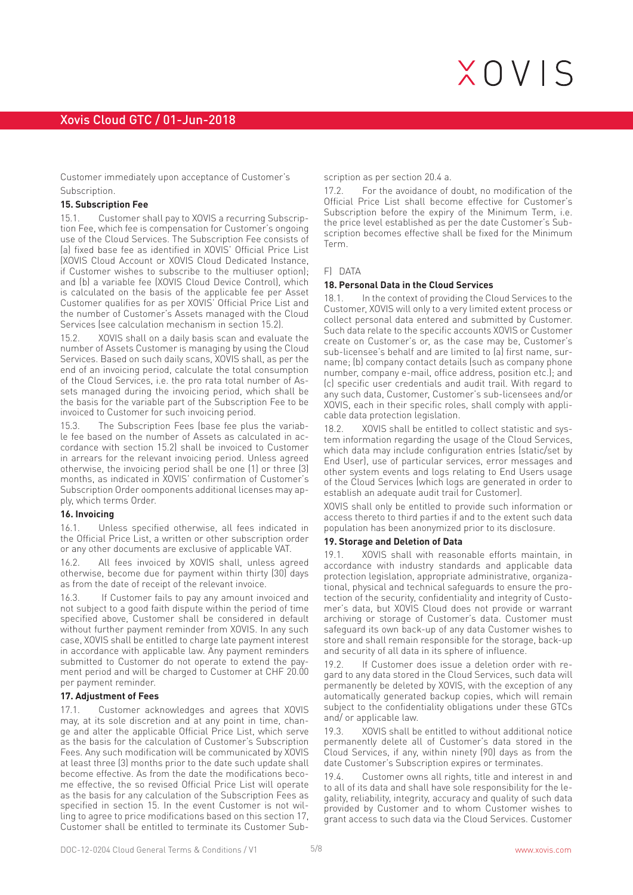Customer immediately upon acceptance of Customer's Subscription.

#### **15. Subscription Fee**

15.1. Customer shall pay to XOVIS a recurring Subscription Fee, which fee is compensation for Customer's ongoing use of the Cloud Services. The Subscription Fee consists of (a) fixed base fee as identified in XOVIS' Official Price List (XOVIS Cloud Account or XOVIS Cloud Dedicated Instance, if Customer wishes to subscribe to the multiuser option); and (b) a variable fee (XOVIS Cloud Device Control), which is calculated on the basis of the applicable fee per Asset Customer qualifies for as per XOVIS' Official Price List and the number of Customer's Assets managed with the Cloud Services (see calculation mechanism in section 15.2).

15.2. XOVIS shall on a daily basis scan and evaluate the number of Assets Customer is managing by using the Cloud Services. Based on such daily scans, XOVIS shall, as per the end of an invoicing period, calculate the total consumption of the Cloud Services, i.e. the pro rata total number of Assets managed during the invoicing period, which shall be the basis for the variable part of the Subscription Fee to be invoiced to Customer for such invoicing period.

15.3. The Subscription Fees (base fee plus the variable fee based on the number of Assets as calculated in accordance with section 15.2) shall be invoiced to Customer in arrears for the relevant invoicing period. Unless agreed otherwise, the invoicing period shall be one (1) or three (3) months, as indicated in XOVIS' confirmation of Customer's Subscription Order oomponents additional licenses may apply, which terms Order.

#### **16. Invoicing**

16.1. Unless specified otherwise, all fees indicated in the Official Price List, a written or other subscription order or any other documents are exclusive of applicable VAT.

16.2. All fees invoiced by XOVIS shall, unless agreed otherwise, become due for payment within thirty (30) days as from the date of receipt of the relevant invoice.

16.3. If Customer fails to pay any amount invoiced and not subject to a good faith dispute within the period of time specified above, Customer shall be considered in default without further payment reminder from XOVIS. In any such case, XOVIS shall be entitled to charge late payment interest in accordance with applicable law. Any payment reminders submitted to Customer do not operate to extend the payment period and will be charged to Customer at CHF 20.00 per payment reminder.

#### **17. Adjustment of Fees**

17.1. Customer acknowledges and agrees that XOVIS may, at its sole discretion and at any point in time, change and alter the applicable Official Price List, which serve as the basis for the calculation of Customer's Subscription Fees. Any such modification will be communicated by XOVIS at least three (3) months prior to the date such update shall become effective. As from the date the modifications become effective, the so revised Official Price List will operate as the basis for any calculation of the Subscription Fees as specified in section 15. In the event Customer is not willing to agree to price modifications based on this section 17, Customer shall be entitled to terminate its Customer Subscription as per section 20.4 a.

17.2. For the avoidance of doubt, no modification of the Official Price List shall become effective for Customer's Subscription before the expiry of the Minimum Term, i.e. the price level established as per the date Customer's Subscription becomes effective shall be fixed for the Minimum Term.

#### F) DATA

#### **18. Personal Data in the Cloud Services**

18.1. In the context of providing the Cloud Services to the Customer, XOVIS will only to a very limited extent process or collect personal data entered and submitted by Customer. Such data relate to the specific accounts XOVIS or Customer create on Customer's or, as the case may be, Customer's sub-licensee's behalf and are limited to (a) first name, surname; (b) company contact details (such as company phone number, company e-mail, office address, position etc.); and (c) specific user credentials and audit trail. With regard to any such data, Customer, Customer's sub-licensees and/or XOVIS, each in their specific roles, shall comply with applicable data protection legislation.

18.2. XOVIS shall be entitled to collect statistic and system information regarding the usage of the Cloud Services, which data may include configuration entries (static/set by End User), use of particular services, error messages and other system events and logs relating to End Users usage of the Cloud Services (which logs are generated in order to establish an adequate audit trail for Customer).

XOVIS shall only be entitled to provide such information or access thereto to third parties if and to the extent such data population has been anonymized prior to its disclosure.

#### **19. Storage and Deletion of Data**

19.1. XOVIS shall with reasonable efforts maintain, in accordance with industry standards and applicable data protection legislation, appropriate administrative, organizational, physical and technical safeguards to ensure the protection of the security, confidentiality and integrity of Customer's data, but XOVIS Cloud does not provide or warrant archiving or storage of Customer's data. Customer must safeguard its own back-up of any data Customer wishes to store and shall remain responsible for the storage, back-up and security of all data in its sphere of influence.

19.2. If Customer does issue a deletion order with regard to any data stored in the Cloud Services, such data will permanently be deleted by XOVIS, with the exception of any automatically generated backup copies, which will remain subject to the confidentiality obligations under these GTCs and/ or applicable law.

19.3. XOVIS shall be entitled to without additional notice permanently delete all of Customer's data stored in the Cloud Services, if any, within ninety (90) days as from the date Customer's Subscription expires or terminates.

19.4. Customer owns all rights, title and interest in and to all of its data and shall have sole responsibility for the legality, reliability, integrity, accuracy and quality of such data provided by Customer and to whom Customer wishes to grant access to such data via the Cloud Services. Customer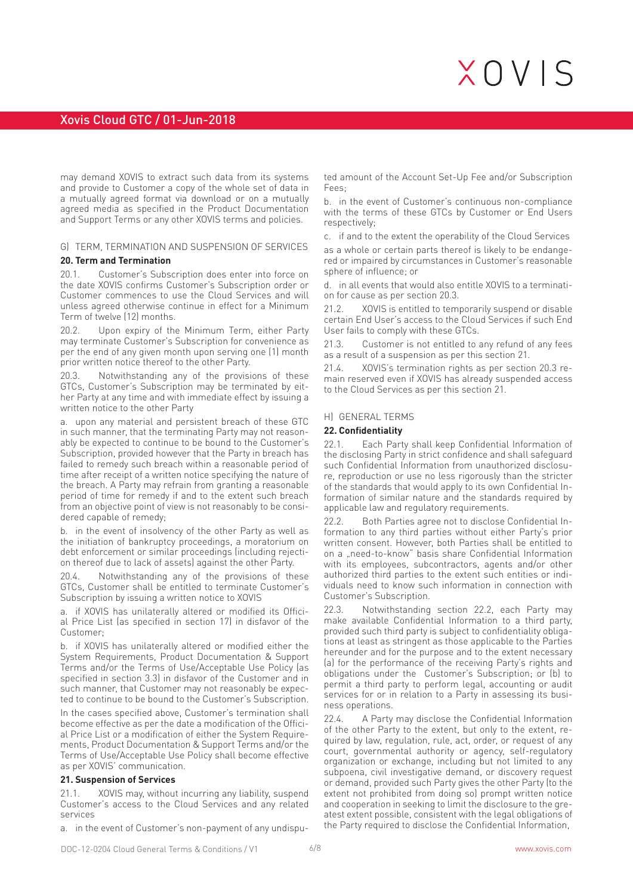# Xovis Cloud GTC / 01-Jun-2018

may demand XOVIS to extract such data from its systems and provide to Customer a copy of the whole set of data in a mutually agreed format via download or on a mutually agreed media as specified in the Product Documentation and Support Terms or any other XOVIS terms and policies.

### G) TERM, TERMINATION AND SUSPENSION OF SERVICES

### **20. Term and Termination**

20.1. Customer's Subscription does enter into force on the date XOVIS confirms Customer's Subscription order or Customer commences to use the Cloud Services and will unless agreed otherwise continue in effect for a Minimum Term of twelve (12) months.

20.2. Upon expiry of the Minimum Term, either Party may terminate Customer's Subscription for convenience as per the end of any given month upon serving one (1) month prior written notice thereof to the other Party.

20.3. Notwithstanding any of the provisions of these GTCs, Customer's Subscription may be terminated by either Party at any time and with immediate effect by issuing a written notice to the other Party

a. upon any material and persistent breach of these GTC in such manner, that the terminating Party may not reasonably be expected to continue to be bound to the Customer's Subscription, provided however that the Party in breach has failed to remedy such breach within a reasonable period of time after receipt of a written notice specifying the nature of the breach. A Party may refrain from granting a reasonable period of time for remedy if and to the extent such breach from an objective point of view is not reasonably to be considered capable of remedy;

b. in the event of insolvency of the other Party as well as the initiation of bankruptcy proceedings, a moratorium on debt enforcement or similar proceedings (including rejection thereof due to lack of assets) against the other Party.

20.4. Notwithstanding any of the provisions of these GTCs, Customer shall be entitled to terminate Customer's Subscription by issuing a written notice to XOVIS

a. if XOVIS has unilaterally altered or modified its Official Price List (as specified in section 17) in disfavor of the Customer;

b. if XOVIS has unilaterally altered or modified either the System Requirements, Product Documentation & Support Terms and/or the Terms of Use/Acceptable Use Policy (as specified in section 3.3) in disfavor of the Customer and in such manner, that Customer may not reasonably be expected to continue to be bound to the Customer's Subscription.

In the cases specified above, Customer's termination shall become effective as per the date a modification of the Official Price List or a modification of either the System Requirements, Product Documentation & Support Terms and/or the Terms of Use/Acceptable Use Policy shall become effective as per XOVIS' communication.

### **21. Suspension of Services**

21.1. XOVIS may, without incurring any liability, suspend Customer's access to the Cloud Services and any related services

a. in the event of Customer's non-payment of any undispu-

ted amount of the Account Set-Up Fee and/or Subscription Fees;

b. in the event of Customer's continuous non-compliance with the terms of these GTCs by Customer or End Users respectively;

c. if and to the extent the operability of the Cloud Services as a whole or certain parts thereof is likely to be endangered or impaired by circumstances in Customer's reasonable sphere of influence; or

d. in all events that would also entitle XOVIS to a termination for cause as per section 20.3.

21.2. XOVIS is entitled to temporarily suspend or disable certain End User's access to the Cloud Services if such End User fails to comply with these GTCs.

21.3. Customer is not entitled to any refund of any fees as a result of a suspension as per this section 21.

21.4. XOVIS's termination rights as per section 20.3 remain reserved even if XOVIS has already suspended access to the Cloud Services as per this section 21.

#### H) GENERAL TERMS

#### **22. Confidentiality**

Each Party shall keep Confidential Information of the disclosing Party in strict confidence and shall safeguard such Confidential Information from unauthorized disclosure, reproduction or use no less rigorously than the stricter of the standards that would apply to its own Confidential Information of similar nature and the standards required by applicable law and regulatory requirements.

22.2. Both Parties agree not to disclose Confidential Information to any third parties without either Party's prior written consent. However, both Parties shall be entitled to on a "need-to-know" basis share Confidential Information with its employees, subcontractors, agents and/or other authorized third parties to the extent such entities or individuals need to know such information in connection with Customer's Subscription.

22.3. Notwithstanding section 22.2, each Party may make available Confidential Information to a third party, provided such third party is subject to confidentiality obligations at least as stringent as those applicable to the Parties hereunder and for the purpose and to the extent necessary (a) for the performance of the receiving Party's rights and obligations under the Customer's Subscription; or (b) to permit a third party to perform legal, accounting or audit services for or in relation to a Party in assessing its business operations.

22.4. A Party may disclose the Confidential Information of the other Party to the extent, but only to the extent, required by law, regulation, rule, act, order, or request of any court, governmental authority or agency, self-regulatory organization or exchange, including but not limited to any subpoena, civil investigative demand, or discovery request or demand, provided such Party gives the other Party (to the extent not prohibited from doing so) prompt written notice and cooperation in seeking to limit the disclosure to the greatest extent possible, consistent with the legal obligations of the Party required to disclose the Confidential Information,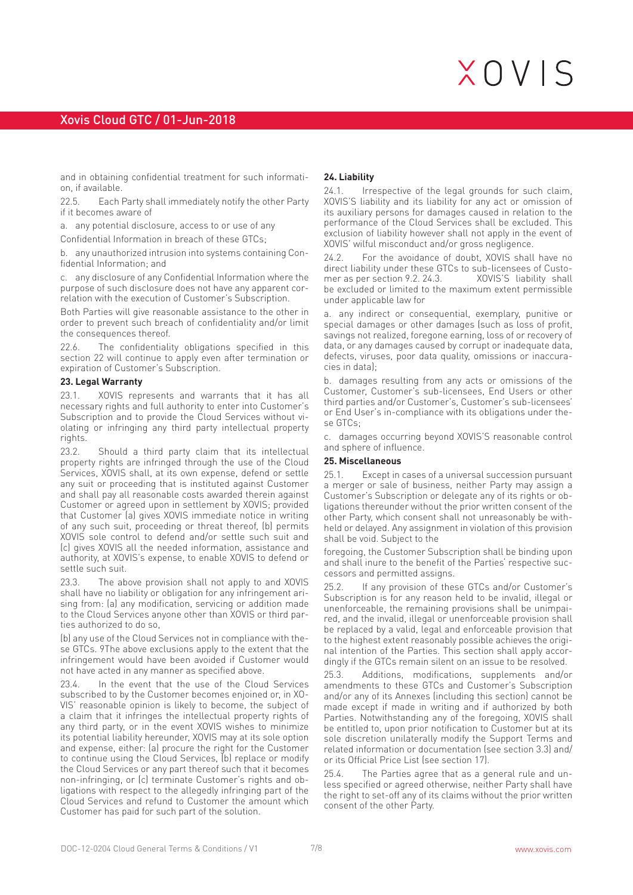and in obtaining confidential treatment for such information, if available.

22.5. Each Party shall immediately notify the other Party if it becomes aware of

a. any potential disclosure, access to or use of any

Confidential Information in breach of these GTCs;

b. any unauthorized intrusion into systems containing Confidential Information; and

c. any disclosure of any Confidential Information where the purpose of such disclosure does not have any apparent correlation with the execution of Customer's Subscription.

Both Parties will give reasonable assistance to the other in order to prevent such breach of confidentiality and/or limit the consequences thereof.

22.6. The confidentiality obligations specified in this section 22 will continue to apply even after termination or expiration of Customer's Subscription.

#### **23. Legal Warranty**

23.1. XOVIS represents and warrants that it has all necessary rights and full authority to enter into Customer's Subscription and to provide the Cloud Services without violating or infringing any third party intellectual property rights.

23.2. Should a third party claim that its intellectual property rights are infringed through the use of the Cloud Services, XOVIS shall, at its own expense, defend or settle any suit or proceeding that is instituted against Customer and shall pay all reasonable costs awarded therein against Customer or agreed upon in settlement by XOVIS; provided that Customer (a) gives XOVIS immediate notice in writing of any such suit, proceeding or threat thereof, (b) permits XOVIS sole control to defend and/or settle such suit and (c) gives XOVIS all the needed information, assistance and authority, at XOVIS's expense, to enable XOVIS to defend or settle such suit.

23.3. The above provision shall not apply to and XOVIS shall have no liability or obligation for any infringement arising from: (a) any modification, servicing or addition made to the Cloud Services anyone other than XOVIS or third parties authorized to do so,

(b) any use of the Cloud Services not in compliance with these GTCs. 9The above exclusions apply to the extent that the infringement would have been avoided if Customer would not have acted in any manner as specified above.

In the event that the use of the Cloud Services subscribed to by the Customer becomes enjoined or, in XO-VIS' reasonable opinion is likely to become, the subject of a claim that it infringes the intellectual property rights of any third party, or in the event XOVIS wishes to minimize its potential liability hereunder, XOVIS may at its sole option and expense, either: (a) procure the right for the Customer to continue using the Cloud Services, (b) replace or modify the Cloud Services or any part thereof such that it becomes non-infringing, or (c) terminate Customer's rights and obligations with respect to the allegedly infringing part of the Cloud Services and refund to Customer the amount which Customer has paid for such part of the solution.

#### **24. Liability**

24.1. Irrespective of the legal grounds for such claim, XOVIS'S liability and its liability for any act or omission of its auxiliary persons for damages caused in relation to the performance of the Cloud Services shall be excluded. This exclusion of liability however shall not apply in the event of XOVIS' wilful misconduct and/or gross negligence.

24.2. For the avoidance of doubt, XOVIS shall have no direct liability under these GTCs to sub-licensees of Customer as per section  $9.2.24.3$ . be excluded or limited to the maximum extent permissible under applicable law for

a. any indirect or consequential, exemplary, punitive or special damages or other damages (such as loss of profit, savings not realized, foregone earning, loss of or recovery of data, or any damages caused by corrupt or inadequate data, defects, viruses, poor data quality, omissions or inaccuracies in data);

b. damages resulting from any acts or omissions of the Customer, Customer's sub-licensees, End Users or other third parties and/or Customer's, Customer's sub-licensees' or End User's in-compliance with its obligations under these GTCs;

c. damages occurring beyond XOVIS'S reasonable control and sphere of influence.

#### **25. Miscellaneous**

25.1. Except in cases of a universal succession pursuant a merger or sale of business, neither Party may assign a Customer's Subscription or delegate any of its rights or obligations thereunder without the prior written consent of the other Party, which consent shall not unreasonably be withheld or delayed. Any assignment in violation of this provision shall be void. Subject to the

foregoing, the Customer Subscription shall be binding upon and shall inure to the benefit of the Parties' respective successors and permitted assigns.

25.2. If any provision of these GTCs and/or Customer's Subscription is for any reason held to be invalid, illegal or unenforceable, the remaining provisions shall be unimpaired, and the invalid, illegal or unenforceable provision shall be replaced by a valid, legal and enforceable provision that to the highest extent reasonably possible achieves the original intention of the Parties. This section shall apply accordingly if the GTCs remain silent on an issue to be resolved.

25.3. Additions, modifications, supplements and/or amendments to these GTCs and Customer's Subscription and/or any of its Annexes (including this section) cannot be made except if made in writing and if authorized by both Parties. Notwithstanding any of the foregoing, XOVIS shall be entitled to, upon prior notification to Customer but at its sole discretion unilaterally modify the Support Terms and related information or documentation (see section 3.3) and/ or its Official Price List (see section 17).

25.4. The Parties agree that as a general rule and unless specified or agreed otherwise, neither Party shall have the right to set-off any of its claims without the prior written consent of the other Party.